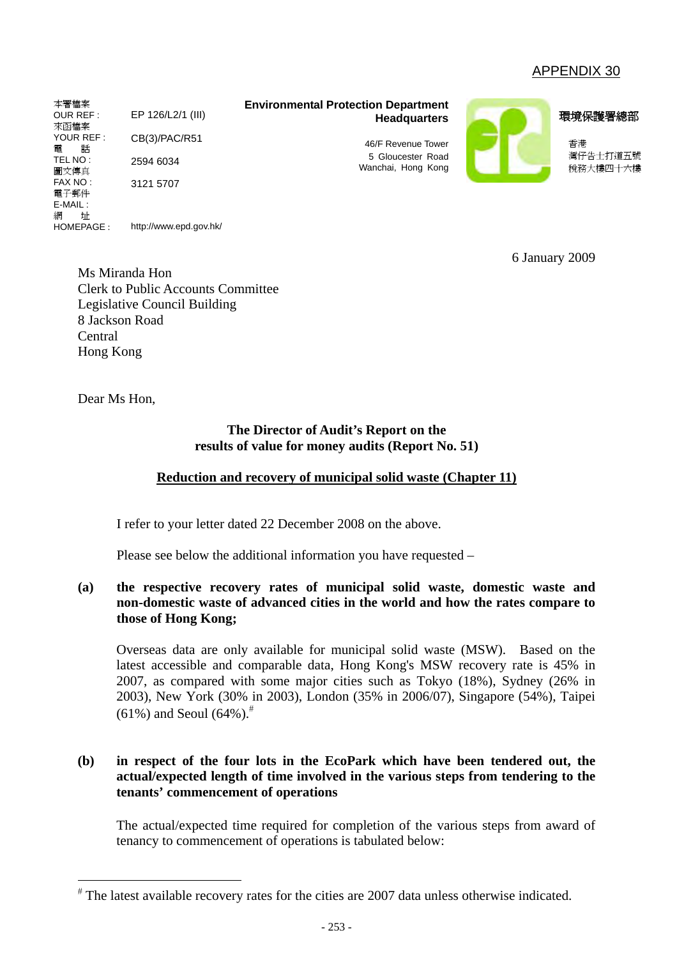# APPENDIX 30

**Environmental Protection Department Headquarters** 

> 46/F Revenue Tower 5 Gloucester Road Wanchai, Hong Kong



環境保護署總部

香港 灣仔告士打道五號 稅務大樓四十六樓

6 January 2009

Ms Miranda Hon Clerk to Public Accounts Committee Legislative Council Building 8 Jackson Road Central Hong Kong

http://www.epd.gov.hk/

EP 126/L2/1 (III)

CB(3)/PAC/R51

2594 6034 3121 5707

Dear Ms Hon,

 $\overline{a}$ 

本署檔案 OUR REF : 來函檔案 YOUR REF : 電 話 TEL NO : 圖文傳真 FAX NO : 電子郵件 E-MAIL : 網 址 HOMEPAGE :

### **The Director of Audit's Report on the results of value for money audits (Report No. 51)**

## **Reduction and recovery of municipal solid waste (Chapter 11)**

I refer to your letter dated 22 December 2008 on the above.

Please see below the additional information you have requested –

## **(a) the respective recovery rates of municipal solid waste, domestic waste and non-domestic waste of advanced cities in the world and how the rates compare to those of Hong Kong;**

Overseas data are only available for municipal solid waste (MSW). Based on the latest accessible and comparable data, Hong Kong's MSW recovery rate is 45% in 2007, as compared with some major cities such as Tokyo (18%), Sydney (26% in 2003), New York (30% in 2003), London (35% in 2006/07), Singapore (54%), Taipei  $(61\%)$  and Seoul  $(64\%)$ .<sup>#</sup>

### **(b) in respect of the four lots in the EcoPark which have been tendered out, the actual/expected length of time involved in the various steps from tendering to the tenants' commencement of operations**

The actual/expected time required for completion of the various steps from award of tenancy to commencement of operations is tabulated below:

<sup>#</sup> The latest available recovery rates for the cities are 2007 data unless otherwise indicated.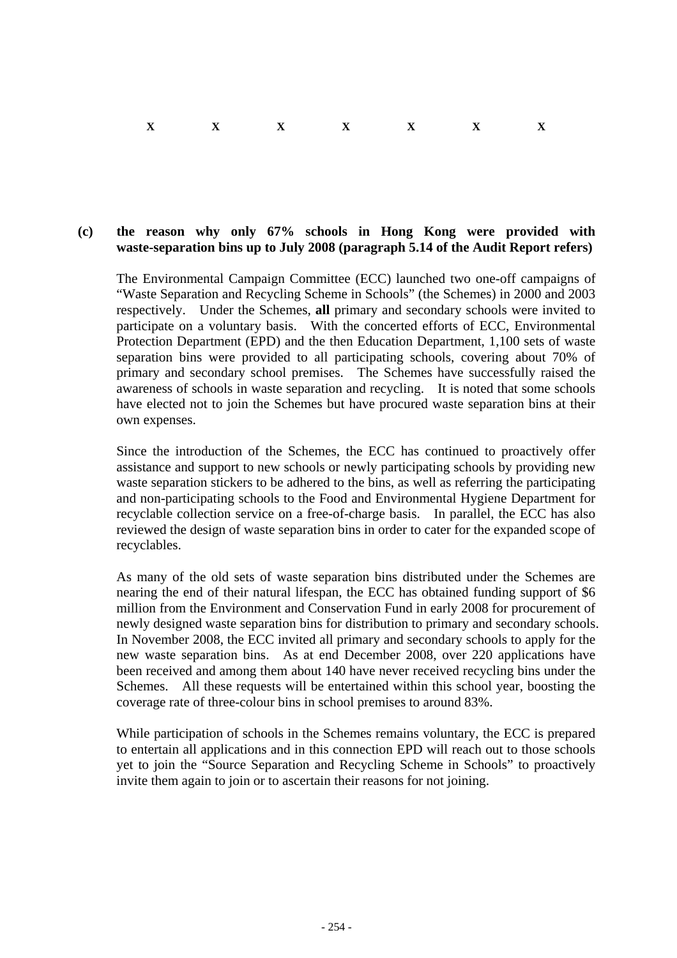#### $X$  X  $X$  X  $X$  X X X

#### **(c) the reason why only 67% schools in Hong Kong were provided with waste-separation bins up to July 2008 (paragraph 5.14 of the Audit Report refers)**

The Environmental Campaign Committee (ECC) launched two one-off campaigns of "Waste Separation and Recycling Scheme in Schools" (the Schemes) in 2000 and 2003 respectively. Under the Schemes, **all** primary and secondary schools were invited to participate on a voluntary basis. With the concerted efforts of ECC, Environmental Protection Department (EPD) and the then Education Department, 1,100 sets of waste separation bins were provided to all participating schools, covering about 70% of primary and secondary school premises. The Schemes have successfully raised the awareness of schools in waste separation and recycling. It is noted that some schools have elected not to join the Schemes but have procured waste separation bins at their own expenses.

Since the introduction of the Schemes, the ECC has continued to proactively offer assistance and support to new schools or newly participating schools by providing new waste separation stickers to be adhered to the bins, as well as referring the participating and non-participating schools to the Food and Environmental Hygiene Department for recyclable collection service on a free-of-charge basis. In parallel, the ECC has also reviewed the design of waste separation bins in order to cater for the expanded scope of recyclables.

As many of the old sets of waste separation bins distributed under the Schemes are nearing the end of their natural lifespan, the ECC has obtained funding support of \$6 million from the Environment and Conservation Fund in early 2008 for procurement of newly designed waste separation bins for distribution to primary and secondary schools. In November 2008, the ECC invited all primary and secondary schools to apply for the new waste separation bins. As at end December 2008, over 220 applications have been received and among them about 140 have never received recycling bins under the Schemes. All these requests will be entertained within this school year, boosting the coverage rate of three-colour bins in school premises to around 83%.

While participation of schools in the Schemes remains voluntary, the ECC is prepared to entertain all applications and in this connection EPD will reach out to those schools yet to join the "Source Separation and Recycling Scheme in Schools" to proactively invite them again to join or to ascertain their reasons for not joining.